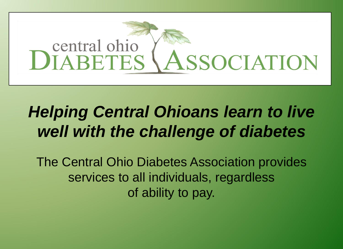

### *Helping Central Ohioans learn to live well with the challenge of diabetes*

The Central Ohio Diabetes Association provides services to all individuals, regardless of ability to pay.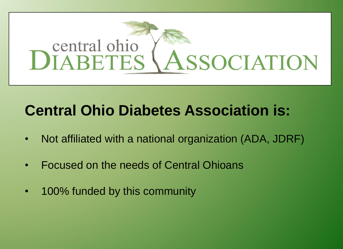# central ohio DIABETES \ASSOCIATION

### **Central Ohio Diabetes Association is:**

- Not affiliated with a national organization (ADA, JDRF)
- Focused on the needs of Central Ohioans
- 100% funded by this community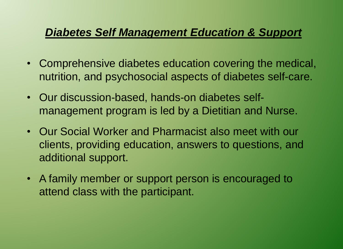#### *Diabetes Self Management Education & Support*

- Comprehensive diabetes education covering the medical, nutrition, and psychosocial aspects of diabetes self-care.
- Our discussion-based, hands-on diabetes selfmanagement program is led by a Dietitian and Nurse.
- Our Social Worker and Pharmacist also meet with our clients, providing education, answers to questions, and additional support.
- A family member or support person is encouraged to attend class with the participant.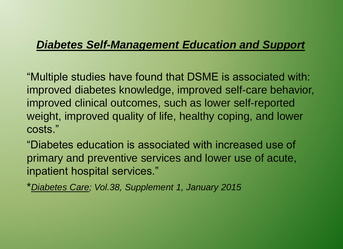#### *Diabetes Self-Management Education and Support*

"Multiple studies have found that DSME is associated with: improved diabetes knowledge, improved self-care behavior, improved clinical outcomes, such as lower self-reported weight, improved quality of life, healthy coping, and lower costs."

"Diabetes education is associated with increased use of primary and preventive services and lower use of acute, inpatient hospital services."

\**Diabetes Care; Vol.38, Supplement 1, January 2015*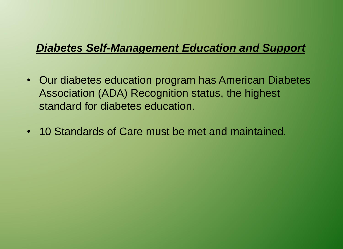#### *Diabetes Self-Management Education and Support*

- Our diabetes education program has American Diabetes Association (ADA) Recognition status, the highest standard for diabetes education.
- 10 Standards of Care must be met and maintained.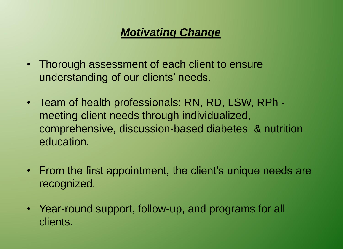#### *Motivating Change*

- Thorough assessment of each client to ensure understanding of our clients' needs.
- Team of health professionals: RN, RD, LSW, RPh meeting client needs through individualized, comprehensive, discussion-based diabetes & nutrition education.
- From the first appointment, the client's unique needs are recognized.
- Year-round support, follow-up, and programs for all clients.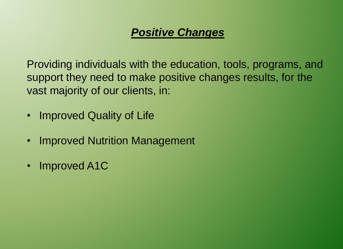#### *Positive Changes*

Providing individuals with the education, tools, programs, and support they need to make positive changes results, for the vast majority of our clients, in:

- Improved Quality of Life
- Improved Nutrition Management
- Improved A1C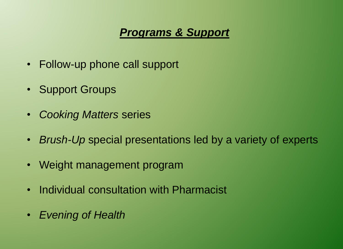#### *Programs & Support*

- Follow-up phone call support
- Support Groups
- *Cooking Matters* series
- *Brush-Up* special presentations led by a variety of experts
- Weight management program
- Individual consultation with Pharmacist
- *Evening of Health*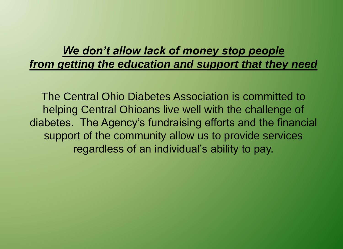#### *We don't allow lack of money stop people from getting the education and support that they need*

The Central Ohio Diabetes Association is committed to helping Central Ohioans live well with the challenge of diabetes. The Agency's fundraising efforts and the financial support of the community allow us to provide services regardless of an individual's ability to pay.